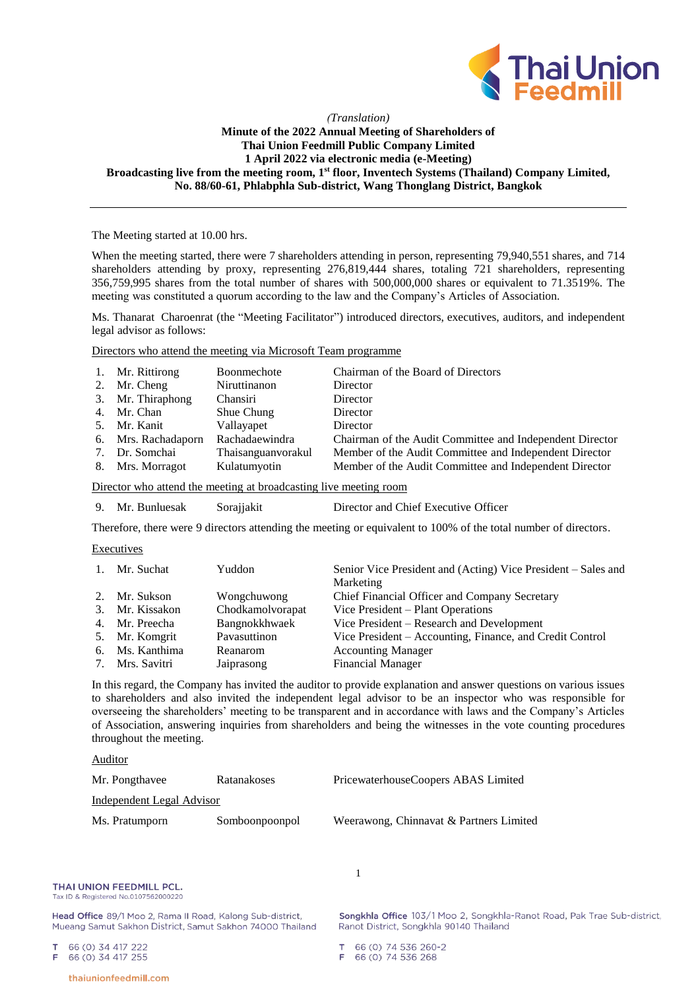

# *(Translation)* **Minute of the 2022 Annual Meeting of Shareholders of Thai Union Feedmill Public Company Limited 1 April 2022 via electronic media (e-Meeting) Broadcasting live from the meeting room, 1st floor, Inventech Systems (Thailand) Company Limited, No. 88/60-61, Phlabphla Sub-district, Wang Thonglang District, Bangkok**

The Meeting started at 10.00 hrs.

When the meeting started, there were 7 shareholders attending in person, representing 79,940,551 shares, and 714 shareholders attending by proxy, representing 276,819,444 shares, totaling 721 shareholders, representing 356,759,995 shares from the total number of shares with 500,000,000 shares or equivalent to 71.3519%. The meeting was constituted a quorum according to the law and the Company's Articles of Association.

Ms. Thanarat Charoenrat (the "Meeting Facilitator") introduced directors, executives, auditors, and independent legal advisor as follows:

Directors who attend the meeting via Microsoft Team programme

| 1. Mr. Rittirong    | Boonmechote        | Chairman of the Board of Directors                       |
|---------------------|--------------------|----------------------------------------------------------|
| 2. Mr. Cheng        | Niruttinanon       | Director                                                 |
| 3. Mr. Thiraphong   | Chansiri           | Director                                                 |
| 4. Mr. Chan         | Shue Chung         | Director                                                 |
| 5. Mr. Kanit        | Vallayapet         | Director                                                 |
| 6. Mrs. Rachadaporn | Rachadaewindra     | Chairman of the Audit Committee and Independent Director |
| 7. Dr. Somchai      | Thaisanguanvorakul | Member of the Audit Committee and Independent Director   |
| 8. Mrs. Morragot    | Kulatumyotin       | Member of the Audit Committee and Independent Director   |

Director who attend the meeting at broadcasting live meeting room

9. Mr. Bunluesak Sorajjakit Director and Chief Executive Officer

Therefore, there were 9 directors attending the meeting or equivalent to 100% of the total number of directors.

### Executives

| $1_{-}$ | Mr. Suchat      | Yuddon           | Senior Vice President and (Acting) Vice President – Sales and |
|---------|-----------------|------------------|---------------------------------------------------------------|
|         |                 |                  | Marketing                                                     |
|         | 2. Mr. Sukson   | Wongchuwong      | Chief Financial Officer and Company Secretary                 |
| 3.      | Mr. Kissakon    | Chodkamolvorapat | Vice President - Plant Operations                             |
| 4.      | Mr. Preecha     | Bangnokkhwaek    | Vice President – Research and Development                     |
| 5.      | Mr. Komgrit     | Pavasuttinon     | Vice President – Accounting, Finance, and Credit Control      |
| 6.      | Ms. Kanthima    | Reanarom         | <b>Accounting Manager</b>                                     |
|         | 7. Mrs. Savitri | Jaiprasong       | <b>Financial Manager</b>                                      |

In this regard, the Company has invited the auditor to provide explanation and answer questions on various issues to shareholders and also invited the independent legal advisor to be an inspector who was responsible for overseeing the shareholders' meeting to be transparent and in accordance with laws and the Company's Articles of Association, answering inquiries from shareholders and being the witnesses in the vote counting procedures throughout the meeting.

1

### Auditor

| Mr. Pongthavee            | Ratanakoses    | PricewaterhouseCoopers ABAS Limited     |
|---------------------------|----------------|-----------------------------------------|
| Independent Legal Advisor |                |                                         |
| Ms. Pratumporn            | Somboonpoonpol | Weerawong, Chinnavat & Partners Limited |

THAI UNION FEEDMILL PCL. Tax ID & Registered No.0107562000220

Head Office 89/1 Moo 2, Rama II Road, Kalong Sub-district, Mueang Samut Sakhon District, Samut Sakhon 74000 Thailand

66 (0) 34 417 222 66 (0) 34 417 255

Songkhla Office 103/1 Moo 2, Songkhla-Ranot Road, Pak Trae Sub-district, Ranot District, Songkhla 90140 Thailand

66 (0) 74 536 260-2 66 (0) 74 536 268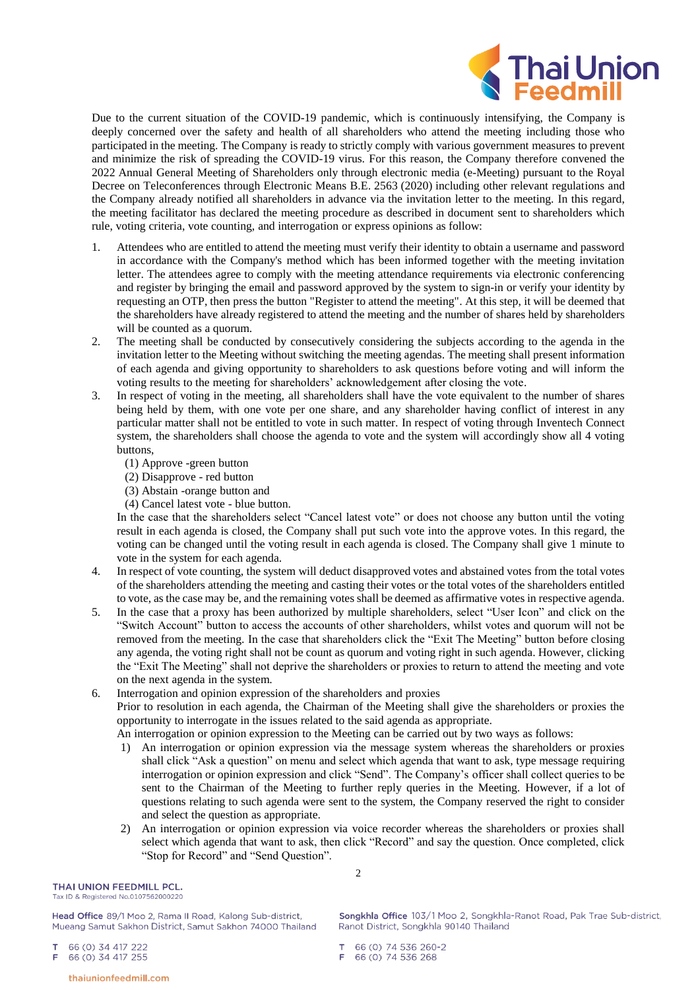

Due to the current situation of the COVID-19 pandemic, which is continuously intensifying, the Company is deeply concerned over the safety and health of all shareholders who attend the meeting including those who participated in the meeting. The Company is ready to strictly comply with various government measures to prevent and minimize the risk of spreading the COVID-19 virus. For this reason, the Company therefore convened the 2022 Annual General Meeting of Shareholders only through electronic media (e-Meeting) pursuant to the Royal Decree on Teleconferences through Electronic Means B.E. 2563 (2020) including other relevant regulations and the Company already notified all shareholders in advance via the invitation letter to the meeting. In this regard, the meeting facilitator has declared the meeting procedure as described in document sent to shareholders which rule, voting criteria, vote counting, and interrogation or express opinions as follow:

- 1. Attendees who are entitled to attend the meeting must verify their identity to obtain a username and password in accordance with the Company's method which has been informed together with the meeting invitation letter. The attendees agree to comply with the meeting attendance requirements via electronic conferencing and register by bringing the email and password approved by the system to sign-in or verify your identity by requesting an OTP, then press the button "Register to attend the meeting". At this step, it will be deemed that the shareholders have already registered to attend the meeting and the number of shares held by shareholders will be counted as a quorum.
- 2. The meeting shall be conducted by consecutively considering the subjects according to the agenda in the invitation letter to the Meeting without switching the meeting agendas. The meeting shall present information of each agenda and giving opportunity to shareholders to ask questions before voting and will inform the voting results to the meeting for shareholders' acknowledgement after closing the vote.
- 3. In respect of voting in the meeting, all shareholders shall have the vote equivalent to the number of shares being held by them, with one vote per one share, and any shareholder having conflict of interest in any particular matter shall not be entitled to vote in such matter. In respect of voting through Inventech Connect system, the shareholders shall choose the agenda to vote and the system will accordingly show all 4 voting buttons,
	- (1) Approve -green button
	- (2) Disapprove red button
	- (3) Abstain -orange button and
	- (4) Cancel latest vote blue button.

In the case that the shareholders select "Cancel latest vote" or does not choose any button until the voting result in each agenda is closed, the Company shall put such vote into the approve votes. In this regard, the voting can be changed until the voting result in each agenda is closed. The Company shall give 1 minute to vote in the system for each agenda.

- 4. In respect of vote counting, the system will deduct disapproved votes and abstained votes from the total votes of the shareholders attending the meeting and casting their votes or the total votes of the shareholders entitled to vote, as the case may be, and the remaining votes shall be deemed as affirmative votes in respective agenda.
- 5. In the case that a proxy has been authorized by multiple shareholders, select "User Icon" and click on the "Switch Account" button to access the accounts of other shareholders, whilst votes and quorum will not be removed from the meeting. In the case that shareholders click the "Exit The Meeting" button before closing any agenda, the voting right shall not be count as quorum and voting right in such agenda. However, clicking the "Exit The Meeting" shall not deprive the shareholders or proxies to return to attend the meeting and vote on the next agenda in the system.
- 6. Interrogation and opinion expression of the shareholders and proxies Prior to resolution in each agenda, the Chairman of the Meeting shall give the shareholders or proxies the opportunity to interrogate in the issues related to the said agenda as appropriate.
	- An interrogation or opinion expression to the Meeting can be carried out by two ways as follows:
	- 1) An interrogation or opinion expression via the message system whereas the shareholders or proxies shall click "Ask a question" on menu and select which agenda that want to ask, type message requiring interrogation or opinion expression and click "Send". The Company's officer shall collect queries to be sent to the Chairman of the Meeting to further reply queries in the Meeting. However, if a lot of questions relating to such agenda were sent to the system, the Company reserved the right to consider and select the question as appropriate.
	- 2) An interrogation or opinion expression via voice recorder whereas the shareholders or proxies shall select which agenda that want to ask, then click "Record" and say the question. Once completed, click "Stop for Record" and "Send Question".

2

THAI UNION FEEDMILL PCL. Tax ID & Registered No.0107562000220

Head Office 89/1 Moo 2, Rama II Road, Kalong Sub-district, Mueang Samut Sakhon District, Samut Sakhon 74000 Thailand

66 (0) 34 417 222

66 (0) 34 417 255 F

Songkhla Office 103/1 Moo 2, Songkhla-Ranot Road, Pak Trae Sub-district, Ranot District, Songkhla 90140 Thailand

66 (0) 74 536 260-2 66 (0) 74 536 268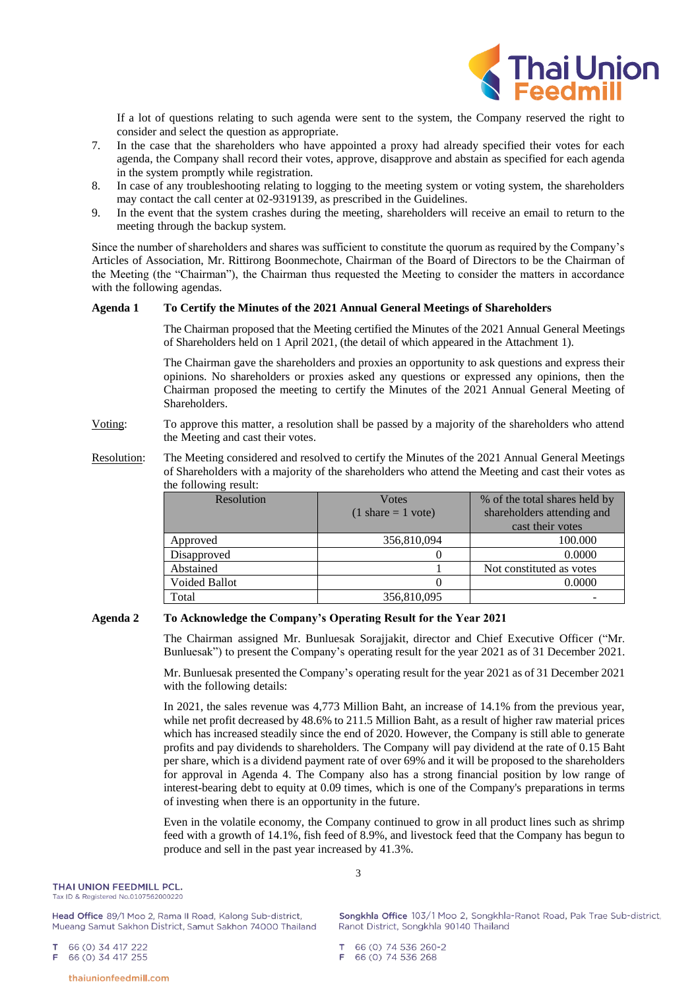

If a lot of questions relating to such agenda were sent to the system, the Company reserved the right to consider and select the question as appropriate.

- 7. In the case that the shareholders who have appointed a proxy had already specified their votes for each agenda, the Company shall record their votes, approve, disapprove and abstain as specified for each agenda in the system promptly while registration.
- 8. In case of any troubleshooting relating to logging to the meeting system or voting system, the shareholders may contact the call center at 02-9319139, as prescribed in the Guidelines.
- 9. In the event that the system crashes during the meeting, shareholders will receive an email to return to the meeting through the backup system.

Since the number of shareholders and shares was sufficient to constitute the quorum as required by the Company's Articles of Association, Mr. Rittirong Boonmechote, Chairman of the Board of Directors to be the Chairman of the Meeting (the "Chairman"), the Chairman thus requested the Meeting to consider the matters in accordance with the following agendas.

### **Agenda 1 To Certify the Minutes of the 2021 Annual General Meetings of Shareholders**

The Chairman proposed that the Meeting certified the Minutes of the 2021 Annual General Meetings of Shareholders held on 1 April 2021, (the detail of which appeared in the Attachment 1).

The Chairman gave the shareholders and proxies an opportunity to ask questions and express their opinions. No shareholders or proxies asked any questions or expressed any opinions, then the Chairman proposed the meeting to certify the Minutes of the 2021 Annual General Meeting of Shareholders.

### Voting: To approve this matter, a resolution shall be passed by a majority of the shareholders who attend the Meeting and cast their votes.

Resolution: The Meeting considered and resolved to certify the Minutes of the 2021 Annual General Meetings of Shareholders with a majority of the shareholders who attend the Meeting and cast their votes as the following result:

| Resolution           | <b>V</b> otes<br>$(1 \text{ share} = 1 \text{ vote})$ | % of the total shares held by<br>shareholders attending and<br>cast their votes |  |
|----------------------|-------------------------------------------------------|---------------------------------------------------------------------------------|--|
| Approved             | 356,810,094                                           | 100.000                                                                         |  |
| Disapproved          |                                                       | 0.0000                                                                          |  |
| Abstained            |                                                       | Not constituted as votes                                                        |  |
| <b>Voided Ballot</b> |                                                       | 0.0000                                                                          |  |
| Total                | 356,810,095                                           |                                                                                 |  |

### **Agenda 2 To Acknowledge the Company's Operating Result for the Year 2021**

The Chairman assigned Mr. Bunluesak Sorajjakit, director and Chief Executive Officer ("Mr. Bunluesak") to present the Company's operating result for the year 2021 as of 31 December 2021.

Mr. Bunluesak presented the Company's operating result for the year 2021 as of 31 December 2021 with the following details:

In 2021, the sales revenue was 4,773 Million Baht, an increase of 14.1% from the previous year, while net profit decreased by 48.6% to 211.5 Million Baht, as a result of higher raw material prices which has increased steadily since the end of 2020. However, the Company is still able to generate profits and pay dividends to shareholders. The Company will pay dividend at the rate of 0.15 Baht per share, which is a dividend payment rate of over 69% and it will be proposed to the shareholders for approval in Agenda 4. The Company also has a strong financial position by low range of interest-bearing debt to equity at 0.09 times, which is one of the Company's preparations in terms of investing when there is an opportunity in the future.

Even in the volatile economy, the Company continued to grow in all product lines such as shrimp feed with a growth of 14.1%, fish feed of 8.9%, and livestock feed that the Company has begun to produce and sell in the past year increased by 41.3%.

Head Office 89/1 Moo 2, Rama II Road, Kalong Sub-district, Mueang Samut Sakhon District, Samut Sakhon 74000 Thailand

66 (0) 34 417 222

66 (0) 34 417 255 F

Songkhla Office 103/1 Moo 2, Songkhla-Ranot Road, Pak Trae Sub-district, Ranot District, Songkhla 90140 Thailand

66 (0) 74 536 260-2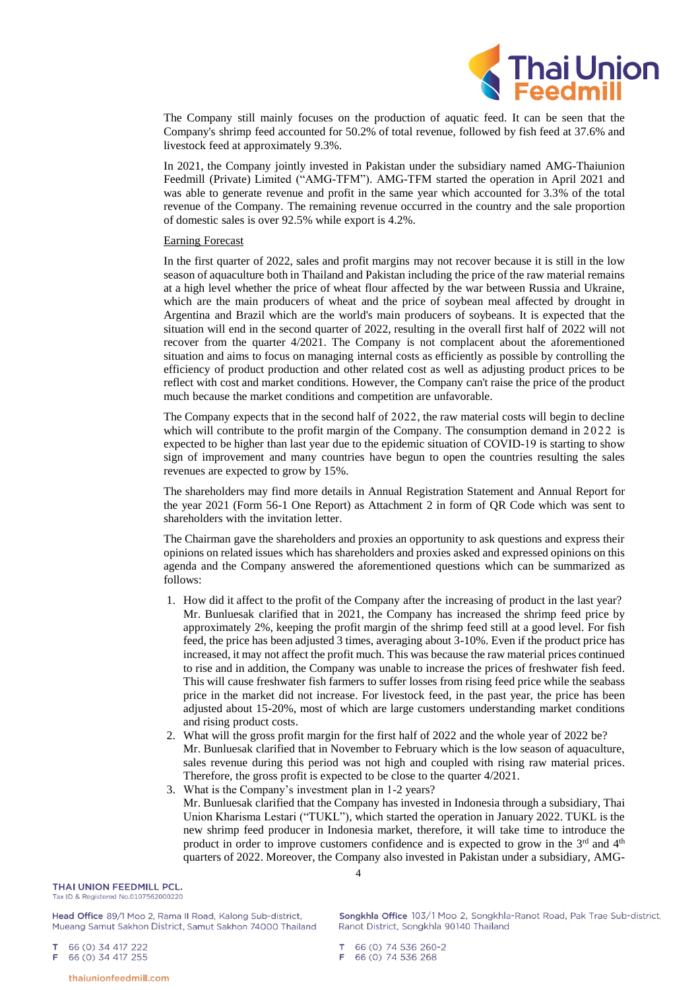

The Company still mainly focuses on the production of aquatic feed. It can be seen that the Company's shrimp feed accounted for 50.2% of total revenue, followed by fish feed at 37.6% and livestock feed at approximately 9.3%.

In 2021, the Company jointly invested in Pakistan under the subsidiary named AMG-Thaiunion Feedmill (Private) Limited ("AMG-TFM"). AMG-TFM started the operation in April 2021 and was able to generate revenue and profit in the same year which accounted for 3.3% of the total revenue of the Company. The remaining revenue occurred in the country and the sale proportion of domestic sales is over 92.5% while export is 4.2%.

#### Earning Forecast

In the first quarter of 2022, sales and profit margins may not recover because it is still in the low season of aquaculture both in Thailand and Pakistan including the price of the raw material remains at a high level whether the price of wheat flour affected by the war between Russia and Ukraine, which are the main producers of wheat and the price of soybean meal affected by drought in Argentina and Brazil which are the world's main producers of soybeans. It is expected that the situation will end in the second quarter of 2022, resulting in the overall first half of 2022 will not recover from the quarter 4/2021. The Company is not complacent about the aforementioned situation and aims to focus on managing internal costs as efficiently as possible by controlling the efficiency of product production and other related cost as well as adjusting product prices to be reflect with cost and market conditions. However, the Company can't raise the price of the product much because the market conditions and competition are unfavorable.

The Company expects that in the second half of 2022, the raw material costs will begin to decline which will contribute to the profit margin of the Company. The consumption demand in 2022 is expected to be higher than last year due to the epidemic situation of COVID-19 is starting to show sign of improvement and many countries have begun to open the countries resulting the sales revenues are expected to grow by 15%.

The shareholders may find more details in Annual Registration Statement and Annual Report for the year 2021 (Form 56-1 One Report) as Attachment 2 in form of QR Code which was sent to shareholders with the invitation letter.

The Chairman gave the shareholders and proxies an opportunity to ask questions and express their opinions on related issues which has shareholders and proxies asked and expressed opinions on this agenda and the Company answered the aforementioned questions which can be summarized as follows:

- 1. How did it affect to the profit of the Company after the increasing of product in the last year? Mr. Bunluesak clarified that in 2021, the Company has increased the shrimp feed price by approximately 2%, keeping the profit margin of the shrimp feed still at a good level. For fish feed, the price has been adjusted 3 times, averaging about 3-10%. Even if the product price has increased, it may not affect the profit much. This was because the raw material prices continued to rise and in addition, the Company was unable to increase the prices of freshwater fish feed. This will cause freshwater fish farmers to suffer losses from rising feed price while the seabass price in the market did not increase. For livestock feed, in the past year, the price has been adjusted about 15-20%, most of which are large customers understanding market conditions and rising product costs.
- 2. What will the gross profit margin for the first half of 2022 and the whole year of 2022 be? Mr. Bunluesak clarified that in November to February which is the low season of aquaculture, sales revenue during this period was not high and coupled with rising raw material prices. Therefore, the gross profit is expected to be close to the quarter 4/2021.
- 3. What is the Company's investment plan in 1-2 years? Mr. Bunluesak clarified that the Company has invested in Indonesia through a subsidiary, Thai Union Kharisma Lestari ("TUKL"), which started the operation in January 2022. TUKL is the new shrimp feed producer in Indonesia market, therefore, it will take time to introduce the product in order to improve customers confidence and is expected to grow in the  $3<sup>rd</sup>$  and  $4<sup>th</sup>$ quarters of 2022. Moreover, the Company also invested in Pakistan under a subsidiary, AMG-

THAI UNION FFFDMILL PCL. Tax ID & Registered No.0107562000220

Head Office 89/1 Moo 2, Rama II Road, Kalong Sub-district, Mueang Samut Sakhon District, Samut Sakhon 74000 Thailand

66 (0) 34 417 222

66 (0) 34 417 255 F

66 (0) 74 536 260-2 66 (0) 74 536 268

4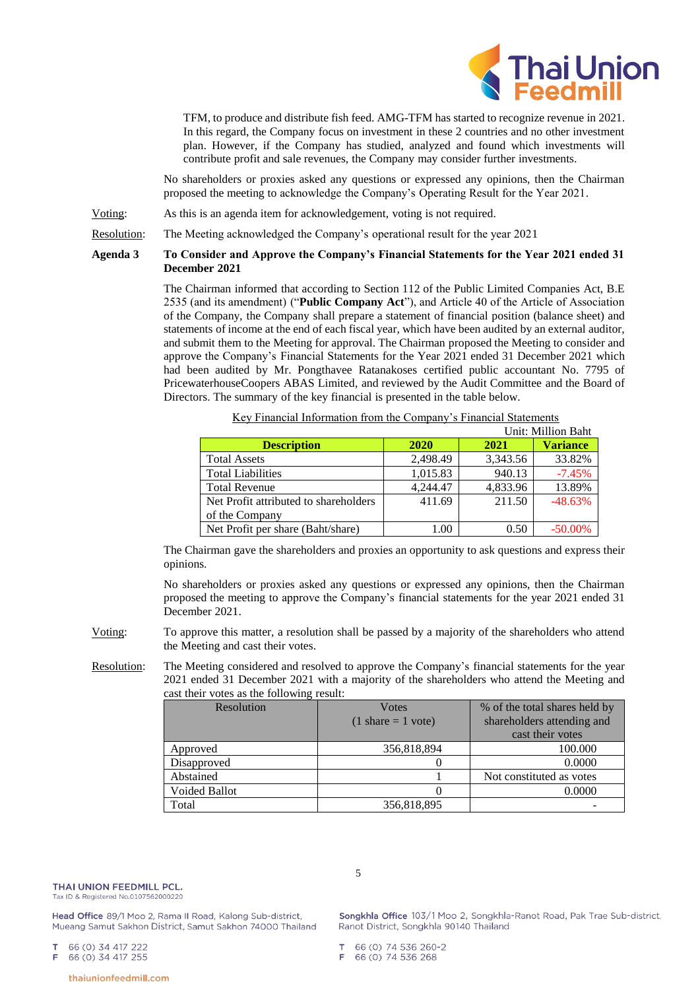

TFM, to produce and distribute fish feed. AMG-TFM has started to recognize revenue in 2021. In this regard, the Company focus on investment in these 2 countries and no other investment plan. However, if the Company has studied, analyzed and found which investments will contribute profit and sale revenues, the Company may consider further investments.

No shareholders or proxies asked any questions or expressed any opinions, then the Chairman proposed the meeting to acknowledge the Company's Operating Result for the Year 2021.

Voting: As this is an agenda item for acknowledgement, voting is not required.

Resolution: The Meeting acknowledged the Company's operational result for the year 2021

# **Agenda 3 To Consider and Approve the Company's Financial Statements for the Year 2021 ended 31 December 2021**

The Chairman informed that according to Section 112 of the Public Limited Companies Act, B.E 2535 (and its amendment) ("**Public Company Act**"), and Article 40 of the Article of Association of the Company, the Company shall prepare a statement of financial position (balance sheet) and statements of income at the end of each fiscal year, which have been audited by an external auditor, and submit them to the Meeting for approval. The Chairman proposed the Meeting to consider and approve the Company's Financial Statements for the Year 2021 ended 31 December 2021 which had been audited by Mr. Pongthavee Ratanakoses certified public accountant No. 7795 of PricewaterhouseCoopers ABAS Limited, and reviewed by the Audit Committee and the Board of Directors. The summary of the key financial is presented in the table below.

|                                       |          |          | Unit: Million Baht |
|---------------------------------------|----------|----------|--------------------|
| <b>Description</b>                    | 2020     | 2021     | <b>Variance</b>    |
| <b>Total Assets</b>                   | 2,498.49 | 3,343.56 | 33.82%             |
| <b>Total Liabilities</b>              | 1,015.83 | 940.13   | $-7.45%$           |
| <b>Total Revenue</b>                  | 4.244.47 | 4,833.96 | 13.89%             |
| Net Profit attributed to shareholders | 411.69   | 211.50   | $-48.63%$          |
| of the Company                        |          |          |                    |
| Net Profit per share (Baht/share)     | 1.00     | 0.50     | $-50.00\%$         |

Key Financial Information from the Company's Financial Statements

The Chairman gave the shareholders and proxies an opportunity to ask questions and express their opinions.

No shareholders or proxies asked any questions or expressed any opinions, then the Chairman proposed the meeting to approve the Company's financial statements for the year 2021 ended 31 December 2021.

- Voting: To approve this matter, a resolution shall be passed by a majority of the shareholders who attend the Meeting and cast their votes.
- Resolution: The Meeting considered and resolved to approve the Company's financial statements for the year 2021 ended 31 December 2021 with a majority of the shareholders who attend the Meeting and cast their votes as the following result:

5

| Resolution           | <b>V</b> otes<br>$(1 \text{ share} = 1 \text{ vote})$ | % of the total shares held by<br>shareholders attending and<br>cast their votes |  |
|----------------------|-------------------------------------------------------|---------------------------------------------------------------------------------|--|
| Approved             | 356,818,894                                           | 100.000                                                                         |  |
| Disapproved          |                                                       | 0.0000                                                                          |  |
| Abstained            |                                                       | Not constituted as votes                                                        |  |
| <b>Voided Ballot</b> |                                                       | 0.0000                                                                          |  |
| Total                | 356,818,895                                           |                                                                                 |  |

Head Office 89/1 Moo 2, Rama II Road, Kalong Sub-district, Mueang Samut Sakhon District, Samut Sakhon 74000 Thailand

66 (0) 34 417 222

66 (0) 34 417 255

66 (0) 74 536 268

Songkhla Office 103/1 Moo 2, Songkhla-Ranot Road, Pak Trae Sub-district, Ranot District, Songkhla 90140 Thailand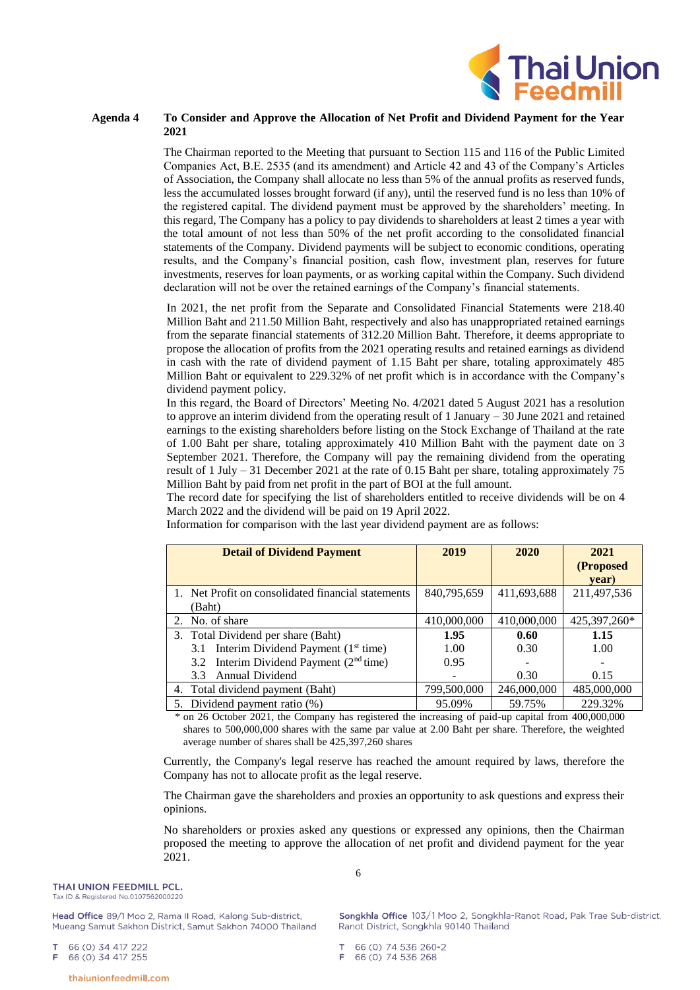

# **Agenda 4 To Consider and Approve the Allocation of Net Profit and Dividend Payment for the Year 2021**

The Chairman reported to the Meeting that pursuant to Section 115 and 116 of the Public Limited Companies Act, B.E. 2535 (and its amendment) and Article 42 and 43 of the Company's Articles of Association, the Company shall allocate no less than 5% of the annual profits as reserved funds, less the accumulated losses brought forward (if any), until the reserved fund is no less than 10% of the registered capital. The dividend payment must be approved by the shareholders' meeting. In this regard, The Company has a policy to pay dividends to shareholders at least 2 times a year with the total amount of not less than 50% of the net profit according to the consolidated financial statements of the Company. Dividend payments will be subject to economic conditions, operating results, and the Company's financial position, cash flow, investment plan, reserves for future investments, reserves for loan payments, or as working capital within the Company. Such dividend declaration will not be over the retained earnings of the Company's financial statements.

In 2021, the net profit from the Separate and Consolidated Financial Statements were 218.40 Million Baht and 211.50 Million Baht, respectively and also has unappropriated retained earnings from the separate financial statements of 312.20 Million Baht. Therefore, it deems appropriate to propose the allocation of profits from the 2021 operating results and retained earnings as dividend in cash with the rate of dividend payment of 1.15 Baht per share, totaling approximately 485 Million Baht or equivalent to 229.32% of net profit which is in accordance with the Company's dividend payment policy.

In this regard, the Board of Directors' Meeting No. 4/2021 dated 5 August 2021 has a resolution to approve an interim dividend from the operating result of 1 January – 30 June 2021 and retained earnings to the existing shareholders before listing on the Stock Exchange of Thailand at the rate of 1.00 Baht per share, totaling approximately 410 Million Baht with the payment date on 3 September 2021. Therefore, the Company will pay the remaining dividend from the operating result of 1 July – 31 December 2021 at the rate of 0.15 Baht per share, totaling approximately 75 Million Baht by paid from net profit in the part of BOI at the full amount.

The record date for specifying the list of shareholders entitled to receive dividends will be on 4 March 2022 and the dividend will be paid on 19 April 2022.

**Detail of Dividend Payment 2019 2020 2021 (Proposed year)** 1. Net Profit on consolidated financial statements (Baht) 840,795,659 411,693,688 211,497,536 2. No. of share 410,000,000 410,000,000 425,397,260\* 3. Total Dividend per share (Baht) 3.1 Interim Dividend Payment  $(1<sup>st</sup> time)$ 3.2 Interim Dividend Payment  $(2<sup>nd</sup> time)$ 3.3 Annual Dividend **1.95** 1.00 0.95 - **0.60** 0.30 - 0.30 **1.15** 1.00 - 0.15 Total dividend payment (Baht) 799,500,000 246,000,000 485,000,000 5. Dividend payment ratio (%)  $95.09\%$  | 59.75% 229.32%

Information for comparison with the last year dividend payment are as follows:

\* on 26 October 2021, the Company has registered the increasing of paid-up capital from 400,000,000 shares to 500,000,000 shares with the same par value at 2.00 Baht per share. Therefore, the weighted average number of shares shall be 425,397,260 shares

Currently, the Company's legal reserve has reached the amount required by laws, therefore the Company has not to allocate profit as the legal reserve.

The Chairman gave the shareholders and proxies an opportunity to ask questions and express their opinions.

No shareholders or proxies asked any questions or expressed any opinions, then the Chairman proposed the meeting to approve the allocation of net profit and dividend payment for the year 2021.

Head Office 89/1 Moo 2, Rama II Road, Kalong Sub-district. Mueang Samut Sakhon District, Samut Sakhon 74000 Thailand

66 (0) 34 417 222

66 (0) 34 417 255 F

Songkhla Office 103/1 Moo 2, Songkhla-Ranot Road, Pak Trae Sub-district, Ranot District, Songkhla 90140 Thailand

66 (0) 74 536 260-2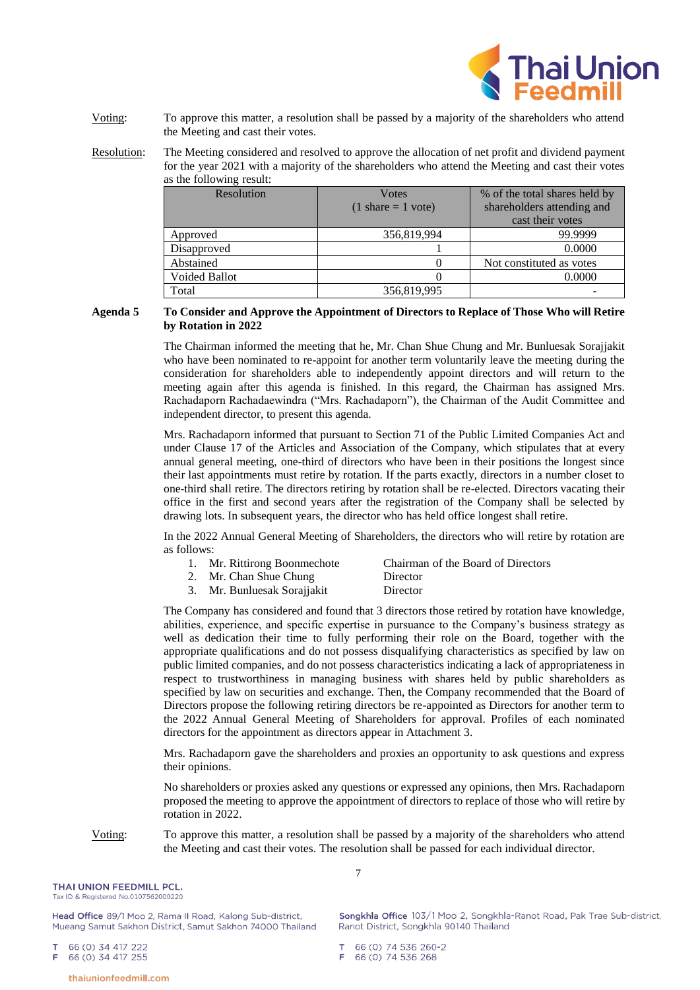

Voting: To approve this matter, a resolution shall be passed by a majority of the shareholders who attend the Meeting and cast their votes.

Resolution: The Meeting considered and resolved to approve the allocation of net profit and dividend payment for the year 2021 with a majority of the shareholders who attend the Meeting and cast their votes as the following result:

| $\mu$ <sub>0</sub> the rollowing researchers |                                                       |                                                             |  |  |
|----------------------------------------------|-------------------------------------------------------|-------------------------------------------------------------|--|--|
| Resolution                                   | <b>V</b> otes<br>$(1 \text{ share} = 1 \text{ vote})$ | % of the total shares held by<br>shareholders attending and |  |  |
|                                              |                                                       | cast their votes                                            |  |  |
| Approved                                     | 356,819,994                                           | 99.9999                                                     |  |  |
| Disapproved                                  |                                                       | 0.0000                                                      |  |  |
| Abstained                                    |                                                       | Not constituted as votes                                    |  |  |
| <b>Voided Ballot</b>                         |                                                       | 0.0000                                                      |  |  |
| Total                                        | 356,819,995                                           |                                                             |  |  |

## **Agenda 5 To Consider and Approve the Appointment of Directors to Replace of Those Who will Retire by Rotation in 2022**

The Chairman informed the meeting that he, Mr. Chan Shue Chung and Mr. Bunluesak Sorajjakit who have been nominated to re-appoint for another term voluntarily leave the meeting during the consideration for shareholders able to independently appoint directors and will return to the meeting again after this agenda is finished. In this regard, the Chairman has assigned Mrs. Rachadaporn Rachadaewindra ("Mrs. Rachadaporn"), the Chairman of the Audit Committee and independent director, to present this agenda.

Mrs. Rachadaporn informed that pursuant to Section 71 of the Public Limited Companies Act and under Clause 17 of the Articles and Association of the Company, which stipulates that at every annual general meeting, one-third of directors who have been in their positions the longest since their last appointments must retire by rotation. If the parts exactly, directors in a number closet to one-third shall retire. The directors retiring by rotation shall be re-elected. Directors vacating their office in the first and second years after the registration of the Company shall be selected by drawing lots. In subsequent years, the director who has held office longest shall retire.

In the 2022 Annual General Meeting of Shareholders, the directors who will retire by rotation are as follows:

|  | 1. Mr. Rittirong Boonmechote | Chairman of the Board of Directors |
|--|------------------------------|------------------------------------|
|  | 2. Mr. Chan Shue Chung       | Director                           |
|  | 3. Mr. Bunluesak Sorajjakit  | Director                           |

The Company has considered and found that 3 directors those retired by rotation have knowledge, abilities, experience, and specific expertise in pursuance to the Company's business strategy as well as dedication their time to fully performing their role on the Board, together with the appropriate qualifications and do not possess disqualifying characteristics as specified by law on public limited companies, and do not possess characteristics indicating a lack of appropriateness in respect to trustworthiness in managing business with shares held by public shareholders as specified by law on securities and exchange. Then, the Company recommended that the Board of Directors propose the following retiring directors be re-appointed as Directors for another term to the 2022 Annual General Meeting of Shareholders for approval. Profiles of each nominated directors for the appointment as directors appear in Attachment 3.

Mrs. Rachadaporn gave the shareholders and proxies an opportunity to ask questions and express their opinions.

No shareholders or proxies asked any questions or expressed any opinions, then Mrs. Rachadaporn proposed the meeting to approve the appointment of directors to replace of those who will retire by rotation in 2022.

Voting: To approve this matter, a resolution shall be passed by a majority of the shareholders who attend the Meeting and cast their votes. The resolution shall be passed for each individual director.

THAI UNION FEEDMILL PCL. Tax ID & Registered No.0107562000220

Head Office 89/1 Moo 2, Rama II Road, Kalong Sub-district, Mueang Samut Sakhon District, Samut Sakhon 74000 Thailand

66 (0) 34 417 222

66 (0) 34 417 255 F

66 (0) 74 536 260-2 66 (0) 74 536 268

7

Songkhla Office 103/1 Moo 2, Songkhla-Ranot Road, Pak Trae Sub-district, Ranot District, Songkhla 90140 Thailand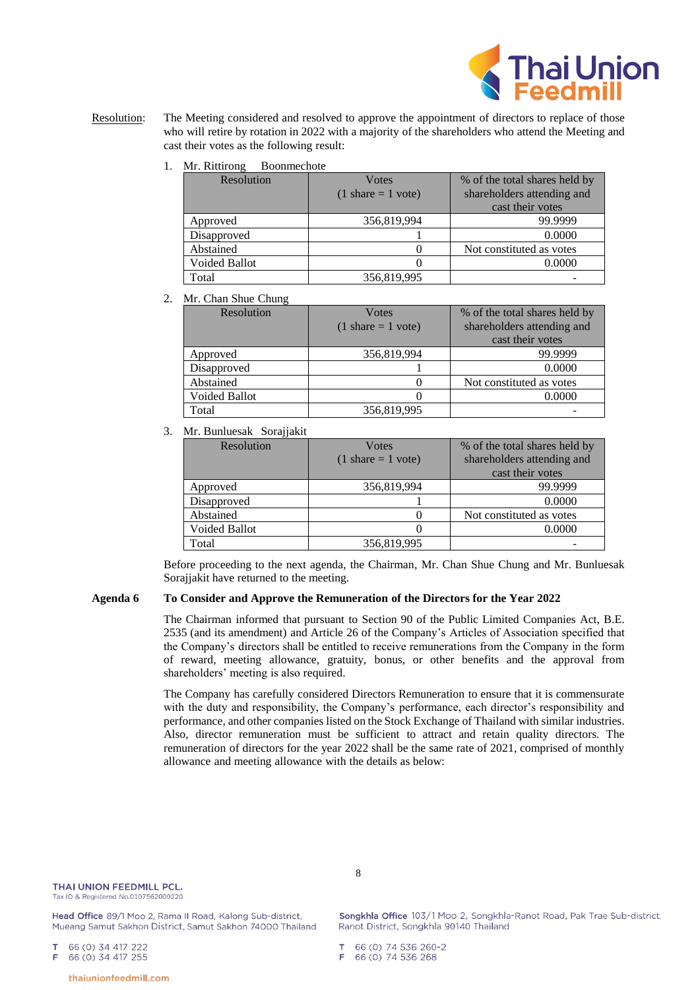

- Resolution: The Meeting considered and resolved to approve the appointment of directors to replace of those who will retire by rotation in 2022 with a majority of the shareholders who attend the Meeting and cast their votes as the following result:
	- 1. Mr. Rittirong Boonmechote

| Resolution    | <b>V</b> otes                        | % of the total shares held by |  |
|---------------|--------------------------------------|-------------------------------|--|
|               | $(1 \text{ share} = 1 \text{ vote})$ | shareholders attending and    |  |
|               |                                      | cast their votes              |  |
| Approved      | 356,819,994                          | 99.9999                       |  |
| Disapproved   |                                      | 0.0000                        |  |
| Abstained     |                                      | Not constituted as votes      |  |
| Voided Ballot |                                      | 0.0000                        |  |
| Total         | 356,819,995                          |                               |  |

2. Mr. Chan Shue Chung

| Resolution    | <b>V</b> otes                        | % of the total shares held by |  |
|---------------|--------------------------------------|-------------------------------|--|
|               | $(1 \text{ share} = 1 \text{ vote})$ | shareholders attending and    |  |
|               |                                      | cast their votes              |  |
| Approved      | 356,819,994                          | 99.9999                       |  |
| Disapproved   |                                      | 0.0000                        |  |
| Abstained     |                                      | Not constituted as votes      |  |
| Voided Ballot |                                      | 0.0000                        |  |
| Total         | 356,819,995                          |                               |  |

3. Mr. Bunluesak Sorajjakit

| Resolution           | <b>V</b> otes                        | % of the total shares held by |  |
|----------------------|--------------------------------------|-------------------------------|--|
|                      | $(1 \text{ share} = 1 \text{ vote})$ | shareholders attending and    |  |
|                      |                                      | cast their votes              |  |
| Approved             | 356,819,994                          | 99.9999                       |  |
| Disapproved          |                                      | 0.0000                        |  |
| Abstained            |                                      | Not constituted as votes      |  |
| <b>Voided Ballot</b> |                                      | 0.0000                        |  |
| Total                | 356,819,995                          |                               |  |

Before proceeding to the next agenda, the Chairman, Mr. Chan Shue Chung and Mr. Bunluesak Sorajjakit have returned to the meeting.

## **Agenda 6 To Consider and Approve the Remuneration of the Directors for the Year 2022**

The Chairman informed that pursuant to Section 90 of the Public Limited Companies Act, B.E. 2535 (and its amendment) and Article 26 of the Company's Articles of Association specified that the Company's directors shall be entitled to receive remunerations from the Company in the form of reward, meeting allowance, gratuity, bonus, or other benefits and the approval from shareholders' meeting is also required.

The Company has carefully considered Directors Remuneration to ensure that it is commensurate with the duty and responsibility, the Company's performance, each director's responsibility and performance, and other companies listed on the Stock Exchange of Thailand with similar industries. Also, director remuneration must be sufficient to attract and retain quality directors. The remuneration of directors for the year 2022 shall be the same rate of 2021, comprised of monthly allowance and meeting allowance with the details as below:

Head Office 89/1 Moo 2, Rama II Road, Kalong Sub-district, Mueang Samut Sakhon District, Samut Sakhon 74000 Thailand

66 (0) 34 417 222 66 (0) 34 417 255 F

Songkhla Office 103/1 Moo 2, Songkhla-Ranot Road, Pak Trae Sub-district, Ranot District, Songkhla 90140 Thailand

66 (0) 74 536 260-2

66 (0) 74 536 268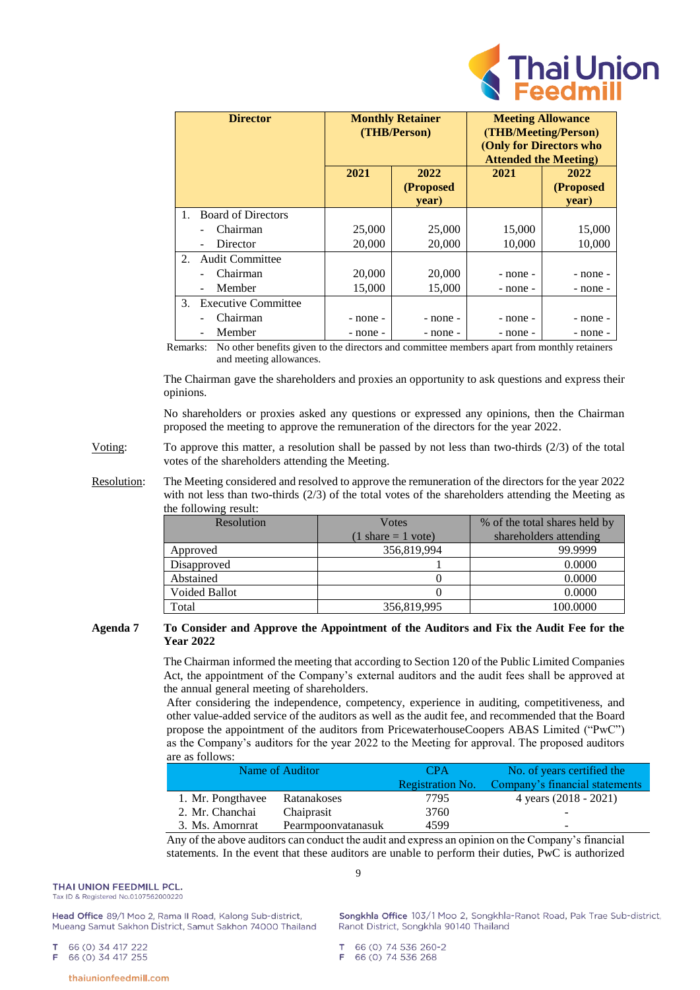

| <b>Director</b> |                                      | <b>Monthly Retainer</b><br>(THB/Person) |           | <b>Meeting Allowance</b><br>(THB/Meeting/Person) |           |  |
|-----------------|--------------------------------------|-----------------------------------------|-----------|--------------------------------------------------|-----------|--|
|                 |                                      |                                         |           | (Only for Directors who                          |           |  |
|                 |                                      |                                         |           | <b>Attended the Meeting)</b>                     |           |  |
|                 |                                      | 2021                                    | 2022      | 2021                                             | 2022      |  |
|                 |                                      |                                         | (Proposed |                                                  | (Proposed |  |
|                 |                                      |                                         | year)     |                                                  | year)     |  |
| $1_{-}$         | <b>Board of Directors</b>            |                                         |           |                                                  |           |  |
|                 | Chairman                             | 25,000                                  | 25,000    | 15,000                                           | 15,000    |  |
|                 | Director<br>$\overline{\phantom{a}}$ | 20,000                                  | 20,000    | 10,000                                           | 10,000    |  |
| 2.              | <b>Audit Committee</b>               |                                         |           |                                                  |           |  |
|                 | Chairman                             | 20,000                                  | 20,000    | - none -                                         | - none -  |  |
|                 | Member<br>$\overline{\phantom{a}}$   | 15,000                                  | 15,000    | - none -                                         | - none -  |  |
| 3.              | <b>Executive Committee</b>           |                                         |           |                                                  |           |  |
|                 | Chairman                             | - none -                                | - none -  | - none -                                         | - none -  |  |
|                 | Member                               | - none -                                | - none -  | - none -                                         | - none -  |  |

Remarks: No other benefits given to the directors and committee members apart from monthly retainers and meeting allowances.

The Chairman gave the shareholders and proxies an opportunity to ask questions and express their opinions.

No shareholders or proxies asked any questions or expressed any opinions, then the Chairman proposed the meeting to approve the remuneration of the directors for the year 2022.

- Voting: To approve this matter, a resolution shall be passed by not less than two-thirds (2/3) of the total votes of the shareholders attending the Meeting.
- Resolution: The Meeting considered and resolved to approve the remuneration of the directors for the year 2022 with not less than two-thirds (2/3) of the total votes of the shareholders attending the Meeting as the following result:

| Resolution           | <b>V</b> otes                        | % of the total shares held by |
|----------------------|--------------------------------------|-------------------------------|
|                      | $(1 \text{ share} = 1 \text{ vote})$ | shareholders attending        |
| Approved             | 356,819,994                          | 99.9999                       |
| Disapproved          |                                      | 0.0000                        |
| Abstained            |                                      | 0.0000                        |
| <b>Voided Ballot</b> |                                      | 0.0000                        |
| Total                | 356,819,995                          | 100.0000                      |

## **Agenda 7 To Consider and Approve the Appointment of the Auditors and Fix the Audit Fee for the Year 2022**

The Chairman informed the meeting that according to Section 120 of the Public Limited Companies Act, the appointment of the Company's external auditors and the audit fees shall be approved at the annual general meeting of shareholders.

After considering the independence, competency, experience in auditing, competitiveness, and other value-added service of the auditors as well as the audit fee, and recommended that the Board propose the appointment of the auditors from PricewaterhouseCoopers ABAS Limited ("PwC") as the Company's auditors for the year 2022 to the Meeting for approval. The proposed auditors are as follows:

|                   | Name of Auditor    | <b>CPA</b>              | No. of years certified the     |
|-------------------|--------------------|-------------------------|--------------------------------|
|                   |                    | <b>Registration No.</b> | Company's financial statements |
| 1. Mr. Pongthavee | Ratanakoses        | 7795                    | 4 years (2018 - 2021)          |
| 2. Mr. Chanchai   | Chaiprasit         | 3760                    |                                |
| 3. Ms. Amornrat   | Pearmpoonvatanasuk | 4599                    | -                              |
|                   |                    | $\ddot{\phantom{1}}$    | $  -$                          |

Any of the above auditors can conduct the audit and express an opinion on the Company's financial statements. In the event that these auditors are unable to perform their duties, PwC is authorized

THAI UNION FFFDMILL PCL. Tax ID & Registered No.0107562000220

Head Office 89/1 Moo 2, Rama II Road, Kalong Sub-district, Mueang Samut Sakhon District, Samut Sakhon 74000 Thailand

66 (0) 34 417 222

66 (0) 34 417 255 F

66 (0) 74 536 260-2

thaiunionfeedmill.com

 $\overline{Q}$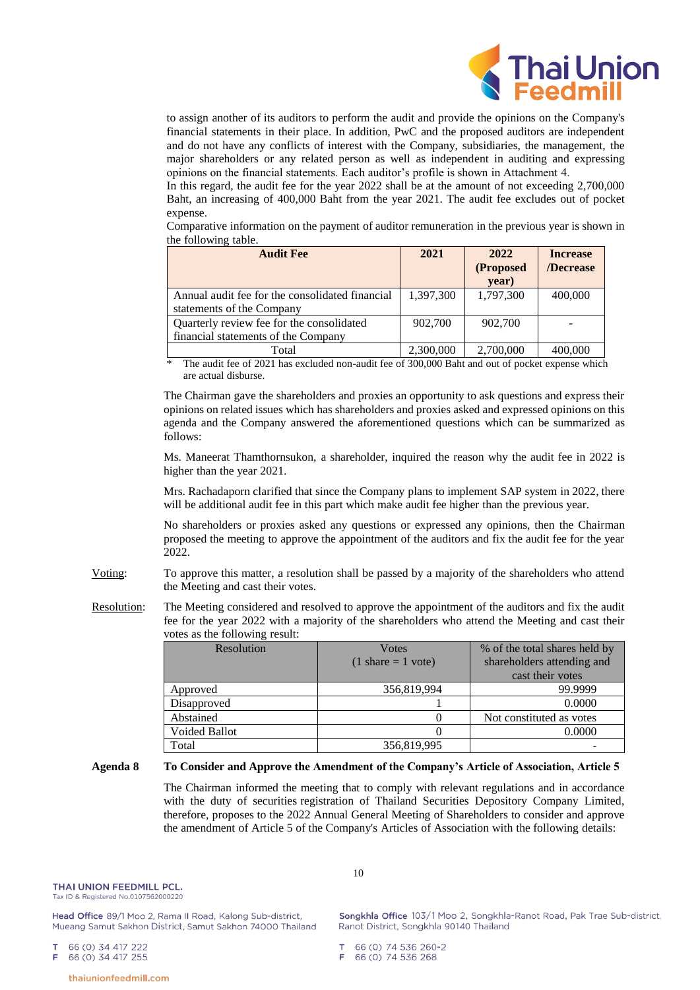

to assign another of its auditors to perform the audit and provide the opinions on the Company's financial statements in their place. In addition, PwC and the proposed auditors are independent and do not have any conflicts of interest with the Company, subsidiaries, the management, the major shareholders or any related person as well as independent in auditing and expressing opinions on the financial statements. Each auditor's profile is shown in Attachment 4.

In this regard, the audit fee for the year 2022 shall be at the amount of not exceeding 2,700,000 Baht, an increasing of 400,000 Baht from the year 2021. The audit fee excludes out of pocket expense.

Comparative information on the payment of auditor remuneration in the previous year is shown in the following table.

| <b>Audit Fee</b>                                | 2021      | 2022      | <b>Increase</b> |
|-------------------------------------------------|-----------|-----------|-----------------|
|                                                 |           | (Proposed | /Decrease       |
|                                                 |           | year)     |                 |
| Annual audit fee for the consolidated financial | 1,397,300 | 1,797,300 | 400,000         |
| statements of the Company                       |           |           |                 |
| Quarterly review fee for the consolidated       | 902,700   | 902,700   |                 |
| financial statements of the Company             |           |           |                 |
| Total                                           | 2,300,000 | 2,700,000 | 400,000         |

The audit fee of 2021 has excluded non-audit fee of 300,000 Baht and out of pocket expense which are actual disburse.

The Chairman gave the shareholders and proxies an opportunity to ask questions and express their opinions on related issues which has shareholders and proxies asked and expressed opinions on this agenda and the Company answered the aforementioned questions which can be summarized as follows:

Ms. Maneerat Thamthornsukon, a shareholder, inquired the reason why the audit fee in 2022 is higher than the year 2021.

Mrs. Rachadaporn clarified that since the Company plans to implement SAP system in 2022, there will be additional audit fee in this part which make audit fee higher than the previous year.

No shareholders or proxies asked any questions or expressed any opinions, then the Chairman proposed the meeting to approve the appointment of the auditors and fix the audit fee for the year 2022.

- Voting: To approve this matter, a resolution shall be passed by a majority of the shareholders who attend the Meeting and cast their votes.
- Resolution: The Meeting considered and resolved to approve the appointment of the auditors and fix the audit fee for the year 2022 with a majority of the shareholders who attend the Meeting and cast their votes as the following result:

| $10000$ as the rollowing result. |                                      |                               |
|----------------------------------|--------------------------------------|-------------------------------|
| Resolution                       | <b>V</b> otes                        | % of the total shares held by |
|                                  | $(1 \text{ share} = 1 \text{ vote})$ | shareholders attending and    |
|                                  |                                      | cast their votes              |
| Approved                         | 356,819,994                          | 99.9999                       |
| Disapproved                      |                                      | 0.0000                        |
| Abstained                        |                                      | Not constituted as votes      |
| <b>Voided Ballot</b>             |                                      | 0.0000                        |
| Total                            | 356,819,995                          |                               |

### **Agenda 8 To Consider and Approve the Amendment of the Company's Article of Association, Article 5**

The Chairman informed the meeting that to comply with relevant regulations and in accordance with the duty of securities registration of Thailand Securities Depository Company Limited, therefore, proposes to the 2022 Annual General Meeting of Shareholders to consider and approve the amendment of Article 5 of the Company's Articles of Association with the following details:

THAI UNION FFFDMILL PCL. Tax ID & Registered No.0107562000220

Head Office 89/1 Moo 2, Rama II Road, Kalong Sub-district, Mueang Samut Sakhon District, Samut Sakhon 74000 Thailand

66 (0) 34 417 222

66 (0) 34 417 255 F

10

Songkhla Office 103/1 Moo 2, Songkhla-Ranot Road, Pak Trae Sub-district, Ranot District, Songkhla 90140 Thailand

66 (0) 74 536 260-2 66 (0) 74 536 268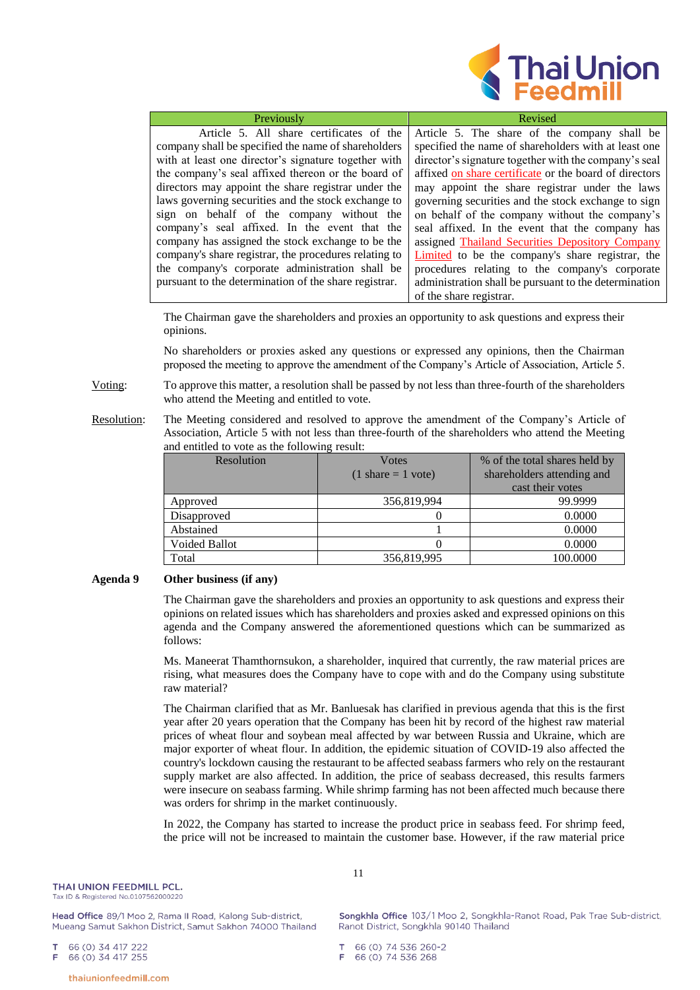

| Previously                                            | Revised                                                |
|-------------------------------------------------------|--------------------------------------------------------|
| Article 5. All share certificates of the              | Article 5. The share of the company shall be           |
| company shall be specified the name of shareholders   | specified the name of shareholders with at least one   |
| with at least one director's signature together with  | director's signature together with the company's seal  |
| the company's seal affixed thereon or the board of    | affixed on share certificate or the board of directors |
| directors may appoint the share registrar under the   | may appoint the share registrar under the laws         |
| laws governing securities and the stock exchange to   | governing securities and the stock exchange to sign    |
| sign on behalf of the company without the             | on behalf of the company without the company's         |
| company's seal affixed. In the event that the         | seal affixed. In the event that the company has        |
| company has assigned the stock exchange to be the     | assigned Thailand Securities Depository Company        |
| company's share registrar, the procedures relating to | Limited to be the company's share registrar, the       |
| the company's corporate administration shall be       | procedures relating to the company's corporate         |
| pursuant to the determination of the share registrar. | administration shall be pursuant to the determination  |
|                                                       | of the share registrar.                                |

The Chairman gave the shareholders and proxies an opportunity to ask questions and express their opinions.

No shareholders or proxies asked any questions or expressed any opinions, then the Chairman proposed the meeting to approve the amendment of the Company's Article of Association, Article 5.

Voting: To approve this matter, a resolution shall be passed by not less than three-fourth of the shareholders who attend the Meeting and entitled to vote.

Resolution: The Meeting considered and resolved to approve the amendment of the Company's Article of Association, Article 5 with not less than three-fourth of the shareholders who attend the Meeting and entitled to vote as the following result:

| Resolution           | <b>V</b> otes                        | % of the total shares held by |
|----------------------|--------------------------------------|-------------------------------|
|                      | $(1 \text{ share} = 1 \text{ vote})$ | shareholders attending and    |
|                      |                                      | cast their votes              |
| Approved             | 356,819,994                          | 99.9999                       |
| Disapproved          |                                      | 0.0000                        |
| Abstained            |                                      | 0.0000                        |
| <b>Voided Ballot</b> |                                      | 0.0000                        |
| Total                | 356,819,995                          | 100.0000                      |

#### **Agenda 9 Other business (if any)**

The Chairman gave the shareholders and proxies an opportunity to ask questions and express their opinions on related issues which has shareholders and proxies asked and expressed opinions on this agenda and the Company answered the aforementioned questions which can be summarized as follows:

Ms. Maneerat Thamthornsukon, a shareholder, inquired that currently, the raw material prices are rising, what measures does the Company have to cope with and do the Company using substitute raw material?

The Chairman clarified that as Mr. Banluesak has clarified in previous agenda that this is the first year after 20 years operation that the Company has been hit by record of the highest raw material prices of wheat flour and soybean meal affected by war between Russia and Ukraine, which are major exporter of wheat flour. In addition, the epidemic situation of COVID-19 also affected the country's lockdown causing the restaurant to be affected seabass farmers who rely on the restaurant supply market are also affected. In addition, the price of seabass decreased, this results farmers were insecure on seabass farming. While shrimp farming has not been affected much because there was orders for shrimp in the market continuously.

In 2022, the Company has started to increase the product price in seabass feed. For shrimp feed, the price will not be increased to maintain the customer base. However, if the raw material price

Head Office 89/1 Moo 2, Rama II Road, Kalong Sub-district, Mueang Samut Sakhon District, Samut Sakhon 74000 Thailand

66 (0) 34 417 222

66 (0) 34 417 255

11

Songkhla Office 103/1 Moo 2, Songkhla-Ranot Road, Pak Trae Sub-district, Ranot District, Songkhla 90140 Thailand

66 (0) 74 536 260-2

66 (0) 74 536 268